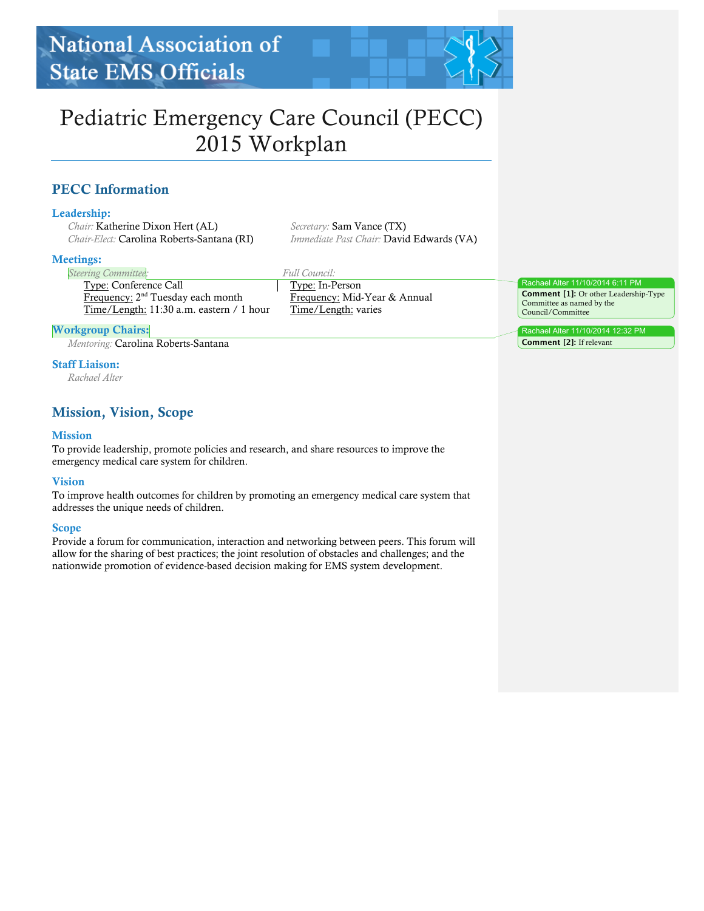# Pediatric Emergency Care Council (PECC) 2015 Workplan

# PECC Information

### Leadership:

*Chair:* Katherine Dixon Hert (AL) *Chair-Elect:* Carolina Roberts-Santana (RI)

#### Meetings:

*Steering Committee:*

*Full Council:*

Type: Conference Call Frequency: 2<sup>nd</sup> Tuesday each month Time/Length: 11:30 a.m. eastern / 1 hour Type: In-Person Frequency: Mid-Year & Annual Time/Length: varies

*Immediate Past Chair:* David Edwards (VA)

*Secretary:* Sam Vance (TX)

### Workgroup Chairs:

*Mentoring:* Carolina Roberts-Santana

### Staff Liaison:

*Rachael Alter*

# Mission, Vision, Scope

### Mission

To provide leadership, promote policies and research, and share resources to improve the emergency medical care system for children.

### Vision

To improve health outcomes for children by promoting an emergency medical care system that addresses the unique needs of children.

### Scope

Provide a forum for communication, interaction and networking between peers. This forum will allow for the sharing of best practices; the joint resolution of obstacles and challenges; and the nationwide promotion of evidence-based decision making for EMS system development.

Rachael Alter 11/10/2014 6:11 PM **Comment [1]:** Or other Leadership-Type Committee as named by the Council/Committee

Rachael Alter 11/10/2014 12:32 PM **Comment [2]:** If relevant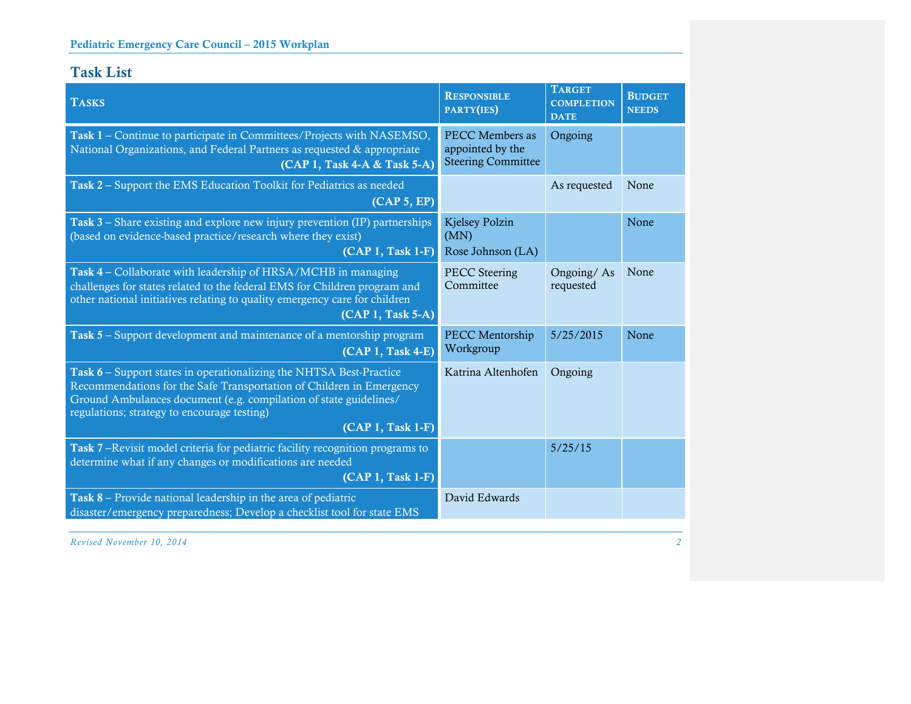# Task List

| <b>TASKS</b>                                                                                                                                                                                                                                                                         | <b>RESPONSIBLE</b><br>PARTY(IES)                                        | <b>TARGET</b><br><b>COMPLETION</b><br><b>DATE</b> | <b>BUDGET</b><br><b>NEEDS</b> |
|--------------------------------------------------------------------------------------------------------------------------------------------------------------------------------------------------------------------------------------------------------------------------------------|-------------------------------------------------------------------------|---------------------------------------------------|-------------------------------|
| Task 1 – Continue to participate in Committees/Projects with NASEMSO,<br>National Organizations, and Federal Partners as requested & appropriate<br>(CAP 1, Task 4-A & Task 5-A)                                                                                                     | <b>PECC Members as</b><br>appointed by the<br><b>Steering Committee</b> | Ongoing                                           |                               |
| Task 2 - Support the EMS Education Toolkit for Pediatrics as needed<br>(CAP 5, EP)                                                                                                                                                                                                   |                                                                         | As requested                                      | None                          |
| Task 3 – Share existing and explore new injury prevention (IP) partnerships<br>(based on evidence-based practice/research where they exist)<br>(CAP 1, Task 1-F)                                                                                                                     | <b>Kjelsey Polzin</b><br>(MN)<br>Rose Johnson (LA)                      |                                                   | None                          |
| Task 4 – Collaborate with leadership of HRSA/MCHB in managing<br>challenges for states related to the federal EMS for Children program and<br>other national initiatives relating to quality emergency care for children<br>(CAP 1, Task 5-A)                                        | <b>PECC</b> Steering<br>Committee                                       | Ongoing/As<br>requested                           | None                          |
| Task 5 – Support development and maintenance of a mentorship program<br>(CAP 1, Task 4-E)                                                                                                                                                                                            | PECC Mentorship<br>Workgroup                                            | 5/25/2015                                         | None                          |
| Task 6 – Support states in operationalizing the NHTSA Best-Practice<br>Recommendations for the Safe Transportation of Children in Emergency<br>Ground Ambulances document (e.g. compilation of state guidelines/<br>regulations; strategy to encourage testing)<br>(CAP 1, Task 1-F) | Katrina Altenhofen                                                      | Ongoing                                           |                               |
| Task 7-Revisit model criteria for pediatric facility recognition programs to<br>determine what if any changes or modifications are needed<br>(CAP 1, Task 1-F)                                                                                                                       |                                                                         | 5/25/15                                           |                               |
| Task 8 – Provide national leadership in the area of pediatric<br>disaster/emergency preparedness; Develop a checklist tool for state EMS                                                                                                                                             | David Edwards                                                           |                                                   |                               |

*Revised November 10, 2014 2*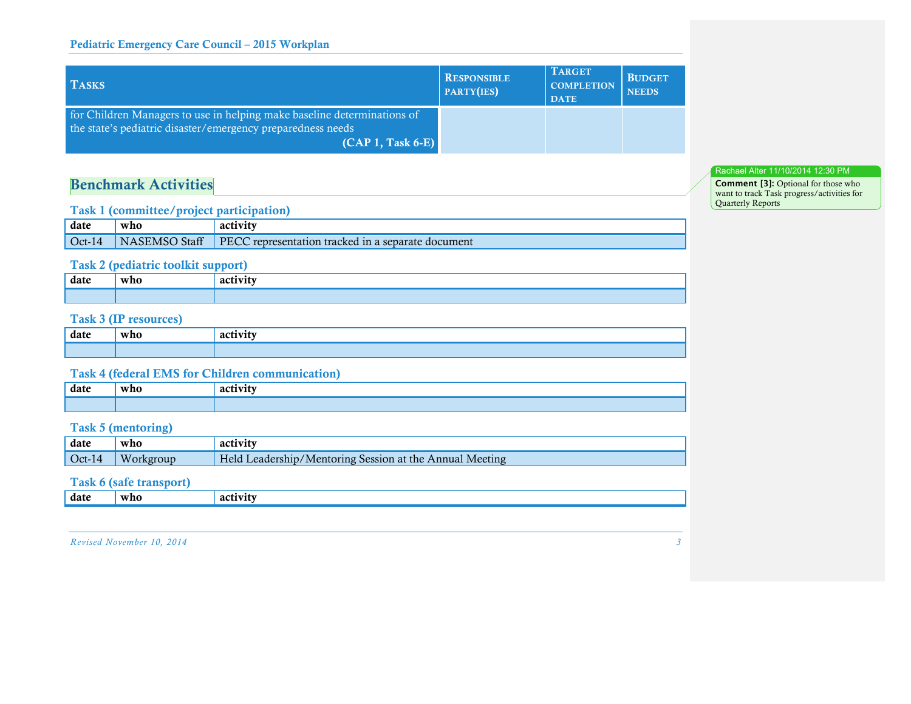### Pediatric Emergency Care Council – 2015 Workplan

| <b>TASKS</b>                                                                                                                                                  | <b>RESPONSIBLE</b><br>PARTY(IES) | <b>TARGET</b><br><b>COMPLETION</b><br><b>DATE</b> | <b>BUDGET</b><br><b>NEEDS</b> |
|---------------------------------------------------------------------------------------------------------------------------------------------------------------|----------------------------------|---------------------------------------------------|-------------------------------|
| for Children Managers to use in helping make baseline determinations of<br>the state's pediatric disaster/emergency preparedness needs<br>$(CAP 1, Task 6-E)$ |                                  |                                                   |                               |

# Benchmark Activities

### Task 1 (committee/project participation)

| date | who | activity                                                                |
|------|-----|-------------------------------------------------------------------------|
|      |     | Oct-14 NASEMSO Staff PECC representation tracked in a separate document |

### Task 2 (pediatric toolkit support)

| date | who<br>$-$ | --<br>acı<br>$\sim$ $\sim$ |
|------|------------|----------------------------|
|      |            |                            |

# Task 3 (IP resources)

| date | who | --<br>acu |
|------|-----|-----------|
|      |     |           |

### Task 4 (federal EMS for Children communication)

| date | who | o otszzał<br>$\overline{\mathbf{a}}$ |
|------|-----|--------------------------------------|
|      |     |                                      |

## Task 5 (mentoring)

| date           | who       | activity                                                |
|----------------|-----------|---------------------------------------------------------|
| $\vert$ Oct-14 | Workgroup | Held Leadership/Mentoring Session at the Annual Meeting |
|                |           |                                                         |

# Task 6 (safe transport)

| date<br>who<br>ZН |  |  |
|-------------------|--|--|
|                   |  |  |

*Revised November 10, 2014 3*

#### Rachael Alter 11/10/2014 12:30 PM

**Comment [3]:** Optional for those who want to track Task progress/activities for Quarterly Reports